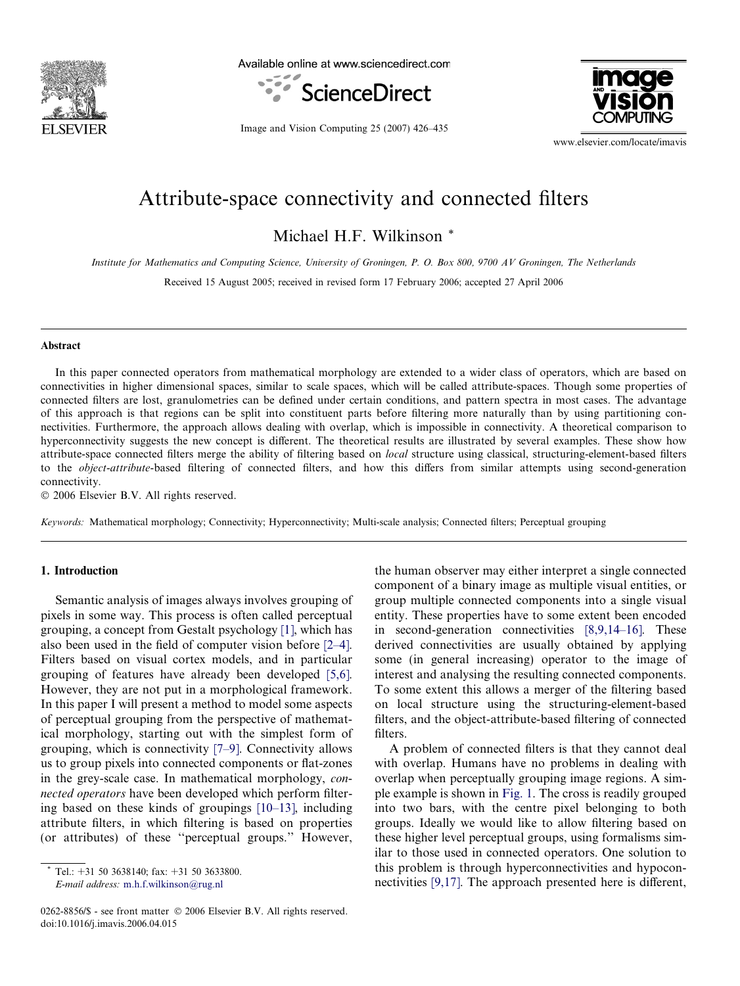

Available online at www.sciencedirect.com





Image and Vision Computing 25 (2007) 426–435

www.elsevier.com/locate/imavis

# Attribute-space connectivity and connected filters

Michael H.F. Wilkinson \*

Institute for Mathematics and Computing Science, University of Groningen, P. O. Box 800, 9700 AV Groningen, The Netherlands

Received 15 August 2005; received in revised form 17 February 2006; accepted 27 April 2006

#### Abstract

In this paper connected operators from mathematical morphology are extended to a wider class of operators, which are based on connectivities in higher dimensional spaces, similar to scale spaces, which will be called attribute-spaces. Though some properties of connected filters are lost, granulometries can be defined under certain conditions, and pattern spectra in most cases. The advantage of this approach is that regions can be split into constituent parts before filtering more naturally than by using partitioning connectivities. Furthermore, the approach allows dealing with overlap, which is impossible in connectivity. A theoretical comparison to hyperconnectivity suggests the new concept is different. The theoretical results are illustrated by several examples. These show how attribute-space connected filters merge the ability of filtering based on local structure using classical, structuring-element-based filters to the *object-attribute*-based filtering of connected filters, and how this differs from similar attempts using second-generation connectivity.

© 2006 Elsevier B.V. All rights reserved.

Keywords: Mathematical morphology; Connectivity; Hyperconnectivity; Multi-scale analysis; Connected filters; Perceptual grouping

#### 1. Introduction

Semantic analysis of images always involves grouping of pixels in some way. This process is often called perceptual grouping, a concept from Gestalt psychology [\[1\],](#page-9-0) which has also been used in the field of computer vision before [\[2–4\]](#page-9-0). Filters based on visual cortex models, and in particular grouping of features have already been developed [\[5,6\]](#page-9-0). However, they are not put in a morphological framework. In this paper I will present a method to model some aspects of perceptual grouping from the perspective of mathematical morphology, starting out with the simplest form of grouping, which is connectivity [\[7–9\]](#page-9-0). Connectivity allows us to group pixels into connected components or flat-zones in the grey-scale case. In mathematical morphology, connected operators have been developed which perform filtering based on these kinds of groupings [\[10–13\]](#page-9-0), including attribute filters, in which filtering is based on properties (or attributes) of these ''perceptual groups.'' However,

0262-8856/\$ - see front matter © 2006 Elsevier B.V. All rights reserved. doi:10.1016/j.imavis.2006.04.015

the human observer may either interpret a single connected component of a binary image as multiple visual entities, or group multiple connected components into a single visual entity. These properties have to some extent been encoded in second-generation connectivities [\[8,9,14–16\].](#page-9-0) These derived connectivities are usually obtained by applying some (in general increasing) operator to the image of interest and analysing the resulting connected components. To some extent this allows a merger of the filtering based on local structure using the structuring-element-based filters, and the object-attribute-based filtering of connected filters.

A problem of connected filters is that they cannot deal with overlap. Humans have no problems in dealing with overlap when perceptually grouping image regions. A simple example is shown in [Fig. 1.](#page-1-0) The cross is readily grouped into two bars, with the centre pixel belonging to both groups. Ideally we would like to allow filtering based on these higher level perceptual groups, using formalisms similar to those used in connected operators. One solution to this problem is through hyperconnectivities and hypoconnectivities [\[9,17\]](#page-9-0). The approach presented here is different,

Tel.:  $+31$  50 3638140; fax:  $+31$  50 3633800. E-mail address: [m.h.f.wilkinson@rug.nl](mailto:m.h.f.wilkinson@rug.nl)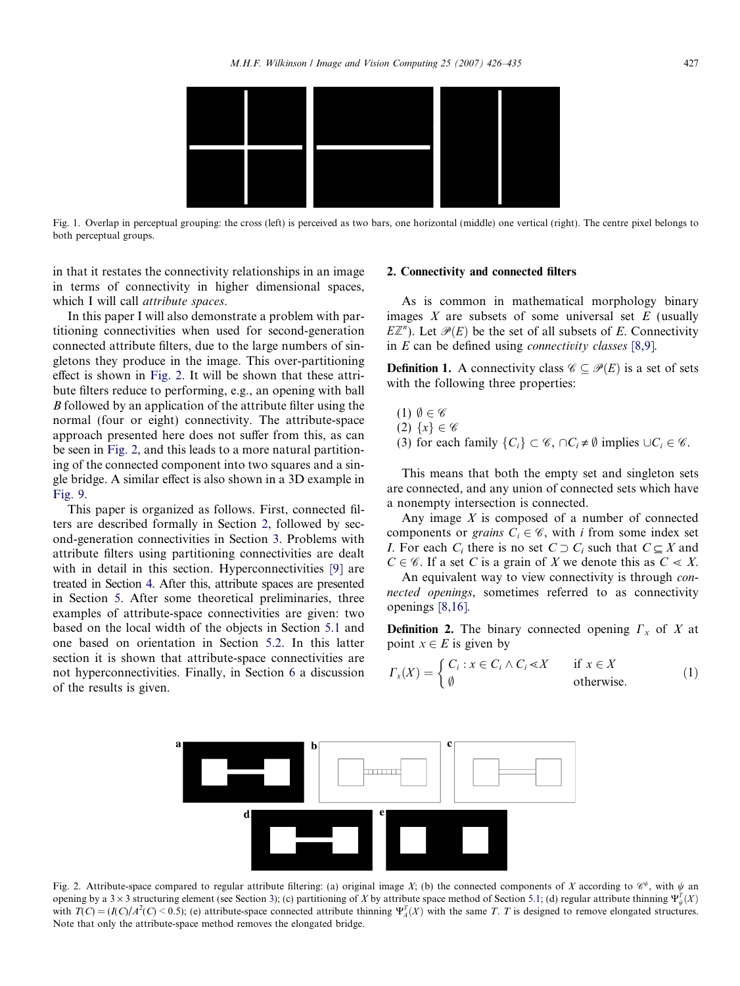<span id="page-1-0"></span>

Fig. 1. Overlap in perceptual grouping: the cross (left) is perceived as two bars, one horizontal (middle) one vertical (right). The centre pixel belongs to both perceptual groups.

in that it restates the connectivity relationships in an image in terms of connectivity in higher dimensional spaces, which I will call *attribute spaces*.

In this paper I will also demonstrate a problem with partitioning connectivities when used for second-generation connected attribute filters, due to the large numbers of singletons they produce in the image. This over-partitioning effect is shown in Fig. 2. It will be shown that these attribute filters reduce to performing, e.g., an opening with ball B followed by an application of the attribute filter using the normal (four or eight) connectivity. The attribute-space approach presented here does not suffer from this, as can be seen in Fig. 2, and this leads to a more natural partitioning of the connected component into two squares and a single bridge. A similar effect is also shown in a 3D example in [Fig. 9.](#page-6-0)

This paper is organized as follows. First, connected filters are described formally in Section 2, followed by second-generation connectivities in Section [3.](#page-2-0) Problems with attribute filters using partitioning connectivities are dealt with in detail in this section. Hyperconnectivities [\[9\]](#page-9-0) are treated in Section [4](#page-3-0). After this, attribute spaces are presented in Section [5](#page-4-0). After some theoretical preliminaries, three examples of attribute-space connectivities are given: two based on the local width of the objects in Section [5.1](#page-5-0) and one based on orientation in Section [5.2.](#page-7-0) In this latter section it is shown that attribute-space connectivities are not hyperconnectivities. Finally, in Section [6](#page-8-0) a discussion of the results is given.

# 2. Connectivity and connected filters

As is common in mathematical morphology binary images  $X$  are subsets of some universal set  $E$  (usually  $E\mathbb{Z}^n$ ). Let  $\mathcal{P}(E)$  be the set of all subsets of E. Connectivity in  $E$  can be defined using *connectivity classes* [\[8,9\].](#page-9-0)

**Definition 1.** A connectivity class  $\mathscr{C} \subseteq \mathscr{P}(E)$  is a set of sets with the following three properties:

- $(1)$   $\emptyset \in \mathscr{C}$
- $(2) \{x\} \in \mathscr{C}$
- (3) for each family  $\{C_i\} \subset \mathscr{C}, \cap C_i \neq \emptyset$  implies  $\cup C_i \in \mathscr{C}$ .

This means that both the empty set and singleton sets are connected, and any union of connected sets which have a nonempty intersection is connected.

Any image  $X$  is composed of a number of connected components or *grains*  $C_i \in \mathscr{C}$ , with *i* from some index set I. For each  $C_i$  there is no set  $C \supset C_i$  such that  $C \subseteq X$  and  $C \in \mathscr{C}$ . If a set C is a grain of X we denote this as  $C \ll X$ .

An equivalent way to view connectivity is through connected openings, sometimes referred to as connectivity openings [\[8,16\].](#page-9-0)

**Definition 2.** The binary connected opening  $\Gamma_x$  of X at point  $x \in E$  is given by

$$
\Gamma_x(X) = \begin{cases} C_i : x \in C_i \land C_i \ll X & \text{if } x \in X \\ \emptyset & \text{otherwise.} \end{cases}
$$
 (1)



Fig. 2. Attribute-space compared to regular attribute filtering: (a) original image X; (b) the connected components of X according to  $\mathcal{C}^{\psi}$ , with  $\psi$  an opening by a 3  $\times$  3 structuring element (see Section [3\)](#page-2-0); (c) partitioning of X by attribute space method of Section [5.1](#page-5-0); (d) regular attribute thinning  $\Psi$ ;  $\iota^r(X)$ with  $T(C) = (I(C)/A^2(C) \le 0.5)$ ; (e) attribute-space connected attribute thinning  $\Psi_A^T(X)$  with the same T. T is designed to remove elongated structures. Note that only the attribute-space method removes the elongated bridge.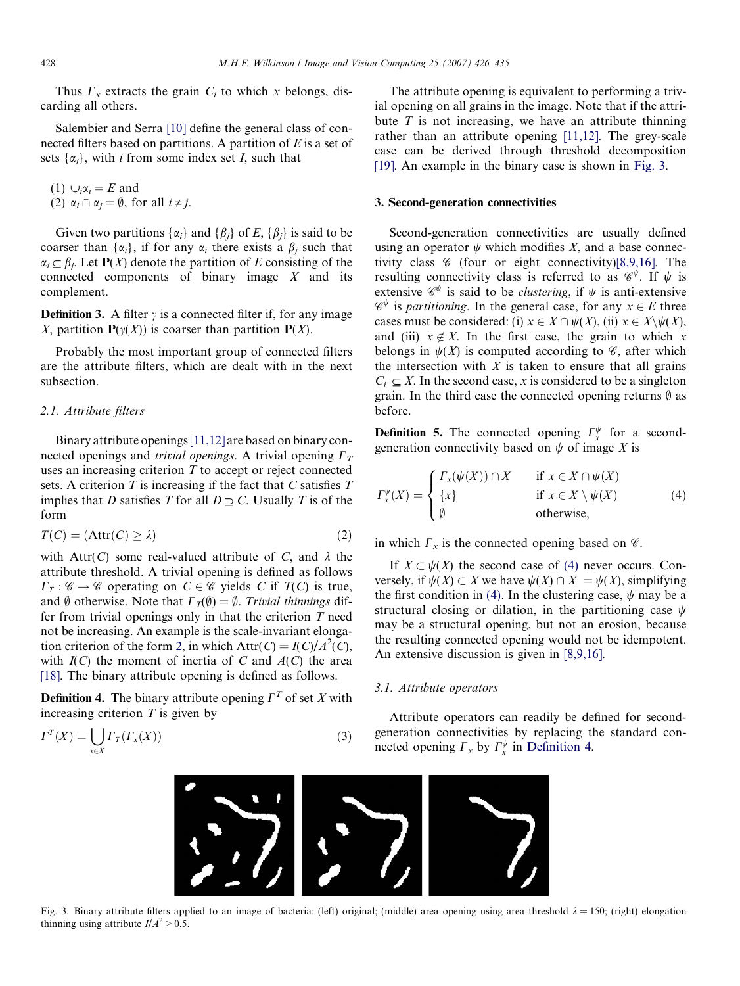<span id="page-2-0"></span>Thus  $\Gamma_x$  extracts the grain  $C_i$  to which x belongs, discarding all others.

Salembier and Serra [\[10\]](#page-9-0) define the general class of connected filters based on partitions. A partition of  $E$  is a set of sets  $\{\alpha_i\}$ , with *i* from some index set *I*, such that

(1)  $\cup_i \alpha_i = E$  and (2)  $\alpha_i \cap \alpha_j = \emptyset$ , for all  $i \neq j$ .

Given two partitions  $\{\alpha_i\}$  and  $\{\beta_i\}$  of E,  $\{\beta_i\}$  is said to be coarser than  $\{\alpha_i\}$ , if for any  $\alpha_i$  there exists a  $\beta_i$  such that  $\alpha_i \subseteq \beta_i$ . Let  $P(X)$  denote the partition of E consisting of the connected components of binary image  $X$  and its complement.

**Definition 3.** A filter  $\gamma$  is a connected filter if, for any image X, partition  $P(\gamma(X))$  is coarser than partition  $P(X)$ .

Probably the most important group of connected filters are the attribute filters, which are dealt with in the next subsection.

# 2.1. Attribute filters

Binary attribute openings[\[11,12\]](#page-9-0) are based on binary connected openings and *trivial openings*. A trivial opening  $\Gamma_T$ uses an increasing criterion  $T$  to accept or reject connected sets. A criterion  $T$  is increasing if the fact that  $C$  satisfies  $T$ implies that D satisfies T for all  $D \supseteq C$ . Usually T is of the form

$$
T(C) = (\text{Attr}(C) \ge \lambda) \tag{2}
$$

with Attr(C) some real-valued attribute of C, and  $\lambda$  the attribute threshold. A trivial opening is defined as follows  $\Gamma_T : \mathscr{C} \to \mathscr{C}$  operating on  $C \in \mathscr{C}$  yields C if  $T(C)$  is true, and  $\emptyset$  otherwise. Note that  $\Gamma_T(\emptyset) = \emptyset$ . Trivial thinnings differ from trivial openings only in that the criterion  $T$  need not be increasing. An example is the scale-invariant elongation criterion of the form 2, in which  $\text{Attr}(C) = I(C)/A^2(C)$ , with  $I(C)$  the moment of inertia of C and  $A(C)$  the area [\[18\]](#page-9-0). The binary attribute opening is defined as follows.

**Definition 4.** The binary attribute opening  $\Gamma^T$  of set X with increasing criterion  $T$  is given by

$$
\varGamma^{T}(X) = \bigcup_{x \in X} \varGamma_{T}(\varGamma_{x}(X))
$$
\n(3)

The attribute opening is equivalent to performing a trivial opening on all grains in the image. Note that if the attribute  $T$  is not increasing, we have an attribute thinning rather than an attribute opening [\[11,12\].](#page-9-0) The grey-scale case can be derived through threshold decomposition [\[19\]](#page-9-0). An example in the binary case is shown in Fig. 3.

## 3. Second-generation connectivities

Second-generation connectivities are usually defined using an operator  $\psi$  which modifies X, and a base connectivity class  $\mathscr C$  (four or eight connectivity[\)\[8,9,16\]](#page-9-0). The resulting connectivity class is referred to as  $\mathscr{C}^{\psi}$ . If  $\psi$  is extensive  $\mathscr{C}^{\psi}$  is said to be *clustering*, if  $\psi$  is anti-extensive  $\mathscr{C}^{\psi}$  is *partitioning*. In the general case, for any  $x \in E$  three cases must be considered: (i)  $x \in X \cap \psi(X)$ , (ii)  $x \in X \setminus \psi(X)$ , and (iii)  $x \notin X$ . In the first case, the grain to which x belongs in  $\psi(X)$  is computed according to  $\mathscr C$ , after which the intersection with  $X$  is taken to ensure that all grains  $C_i \subseteq X$ . In the second case, x is considered to be a singleton grain. In the third case the connected opening returns  $\emptyset$  as before.

**Definition 5.** The connected opening  $\Gamma_x^{\psi}$  for a secondgeneration connectivity based on  $\psi$  of image X is

$$
\Gamma_x^{\psi}(X) = \begin{cases} \Gamma_x(\psi(X)) \cap X & \text{if } x \in X \cap \psi(X) \\ \{x\} & \text{if } x \in X \setminus \psi(X) \\ \emptyset & \text{otherwise,} \end{cases}
$$
(4)

in which  $\Gamma_x$  is the connected opening based on  $\mathscr{C}$ .

If  $X \subset \psi(X)$  the second case of (4) never occurs. Conversely, if  $\psi(X) \subset X$  we have  $\psi(X) \cap X = \psi(X)$ , simplifying the first condition in (4). In the clustering case,  $\psi$  may be a structural closing or dilation, in the partitioning case  $\psi$ may be a structural opening, but not an erosion, because the resulting connected opening would not be idempotent. An extensive discussion is given in [\[8,9,16\].](#page-9-0)

## 3.1. Attribute operators

Attribute operators can readily be defined for secondgeneration connectivities by replacing the standard connected opening  $\Gamma_x$  by  $\Gamma_x^{\psi}$  in Definition 4.



Fig. 3. Binary attribute filters applied to an image of bacteria: (left) original; (middle) area opening using area threshold  $\lambda = 150$ ; (right) elongation thinning using attribute  $I/A^2 > 0.5$ .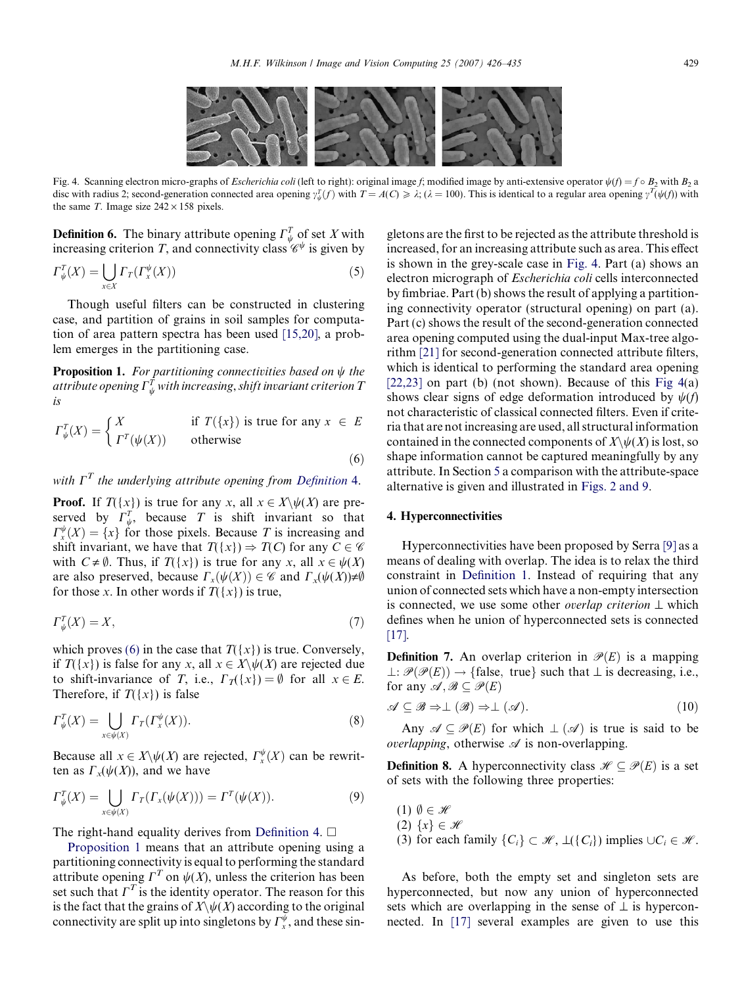

<span id="page-3-0"></span>Fig. 4. Scanning electron micro-graphs of *Escherichia coli* (left to right): original image f; modified image by anti-extensive operator  $\psi(f) = f \circ B_2$  with  $B_2$  a disc with radius 2; second-generation connected area opening  $\gamma^T_{\psi}(f)$  with  $T = A(C) \ge \lambda$ ; ( $\lambda = 100$ ). This is identical to a regular area opening  $\gamma^T(\psi(f))$  with the same T. Image size  $242 \times 158$  pixels.

**Definition 6.** The binary attribute opening  $\Gamma_{\psi}^{T}$  of set X with increasing criterion T, and connectivity class  $\mathscr{C}^{\psi}$  is given by

$$
\Gamma_{\psi}^{T}(X) = \bigcup_{x \in X} \Gamma_{T}(T_{x}^{\psi}(X))
$$
\n(5)

Though useful filters can be constructed in clustering case, and partition of grains in soil samples for computation of area pattern spectra has been used [\[15,20\],](#page-9-0) a problem emerges in the partitioning case.

**Proposition 1.** For partitioning connectivities based on  $\psi$  the attribute opening  $\Gamma^T_\psi$  with increasing, shift invariant criterion  $T$ is

$$
\Gamma_{\psi}^{T}(X) = \begin{cases} X & \text{if } T(\{x\}) \text{ is true for any } x \in E \\ \Gamma^{T}(\psi(X)) & \text{otherwise} \end{cases}
$$
(6)

with  $\Gamma^T$  the underlying attribute opening from [Definition](#page-2-0) 4.

**Proof.** If  $T({x})$  is true for any x, all  $x \in X \setminus \psi(X)$  are preserved by  $\Gamma_{\psi}^{T}$ , because T is shift invariant so that  $\Gamma_x^{\psi}(X) = \{x\}$  for those pixels. Because T is increasing and shift invariant, we have that  $T({x}) \Rightarrow T(C)$  for any  $C \in \mathscr{C}$ with  $C \neq \emptyset$ . Thus, if  $T({x})$  is true for any x, all  $x \in \psi(X)$ are also preserved, because  $\Gamma_x(\psi(X)) \in \mathscr{C}$  and  $\Gamma_x(\psi(X)) \neq \emptyset$ for those x. In other words if  $T({x})$  is true,

$$
\Gamma_{\psi}^{T}(X) = X,\tag{7}
$$

which proves (6) in the case that  $T({x})$  is true. Conversely, if  $T({x})$  is false for any x, all  $x \in X \setminus \psi(X)$  are rejected due to shift-invariance of T, i.e.,  $\Gamma_T({x}) = \emptyset$  for all  $x \in E$ . Therefore, if  $T({x})$  is false

$$
\Gamma_{\psi}^T(X) = \bigcup_{x \in \psi(X)} \Gamma_T(\Gamma_x^{\psi}(X)). \tag{8}
$$

Because all  $x \in X \backslash \psi(X)$  are rejected,  $\Gamma_x^{\psi}(X)$  can be rewritten as  $\Gamma_x(\psi(X))$ , and we have

$$
\Gamma_{\psi}^T(X) = \bigcup_{x \in \psi(X)} \Gamma_T(\Gamma_x(\psi(X))) = \Gamma^T(\psi(X)). \tag{9}
$$

The right-hand equality derives from [Definition 4](#page-2-0).  $\Box$ 

Proposition 1 means that an attribute opening using a partitioning connectivity is equal to performing the standard attribute opening  $\Gamma^T$  on  $\psi(X)$ , unless the criterion has been set such that  $\Gamma^T$  is the identity operator. The reason for this is the fact that the grains of  $X \backslash \psi(X)$  according to the original connectivity are split up into singletons by  $\Gamma_x^{\psi}$ , and these singletons are the first to be rejected as the attribute threshold is increased, for an increasing attribute such as area. This effect is shown in the grey-scale case in Fig. 4. Part (a) shows an electron micrograph of Escherichia coli cells interconnected by fimbriae. Part (b) shows the result of applying a partitioning connectivity operator (structural opening) on part (a). Part (c) shows the result of the second-generation connected area opening computed using the dual-input Max-tree algorithm [\[21\]](#page-9-0) for second-generation connected attribute filters, which is identical to performing the standard area opening [\[22,23\]](#page-9-0) on part (b) (not shown). Because of this Fig  $4(a)$ shows clear signs of edge deformation introduced by  $\psi(f)$ not characteristic of classical connected filters. Even if criteria that are not increasing are used, all structural information contained in the connected components of  $X \backslash \psi(X)$  is lost, so shape information cannot be captured meaningfully by any attribute. In Section [5](#page-4-0) a comparison with the attribute-space alternative is given and illustrated in [Figs. 2 and 9](#page-1-0).

# 4. Hyperconnectivities

Hyperconnectivities have been proposed by Serra [\[9\]](#page-9-0) as a means of dealing with overlap. The idea is to relax the third constraint in [Definition 1.](#page-1-0) Instead of requiring that any union of connected sets which have a non-empty intersection is connected, we use some other *overlap criterion*  $\perp$  which defines when he union of hyperconnected sets is connected [\[17\].](#page-9-0)

**Definition 7.** An overlap criterion in  $\mathcal{P}(E)$  is a mapping  $\perp : \mathcal{P}(\mathcal{P}(E)) \rightarrow \{\text{false}, \text{ true}\}\$  such that  $\perp$  is decreasing, i.e., for any  $\mathscr{A}, \mathscr{B} \subseteq \mathscr{P}(E)$ 

$$
\mathscr{A} \subseteq \mathscr{B} \Rightarrow \perp (\mathscr{B}) \Rightarrow \perp (\mathscr{A}). \tag{10}
$$

Any  $\mathscr{A} \subseteq \mathscr{P}(E)$  for which  $\perp (\mathscr{A})$  is true is said to be *overlapping*, otherwise  $\mathcal A$  is non-overlapping.

**Definition 8.** A hyperconnectivity class  $\mathcal{H} \subseteq \mathcal{P}(E)$  is a set of sets with the following three properties:

 $(1)$   $\emptyset \in \mathscr{H}$  $(2) \{x\} \in \mathcal{H}$ (3) for each family  $\{C_i\} \subset \mathcal{H}$ ,  $\bot(\{C_i\})$  implies  $\cup C_i \in \mathcal{H}$ .

As before, both the empty set and singleton sets are hyperconnected, but now any union of hyperconnected sets which are overlapping in the sense of  $\perp$  is hyperconnected. In [\[17\]](#page-9-0) several examples are given to use this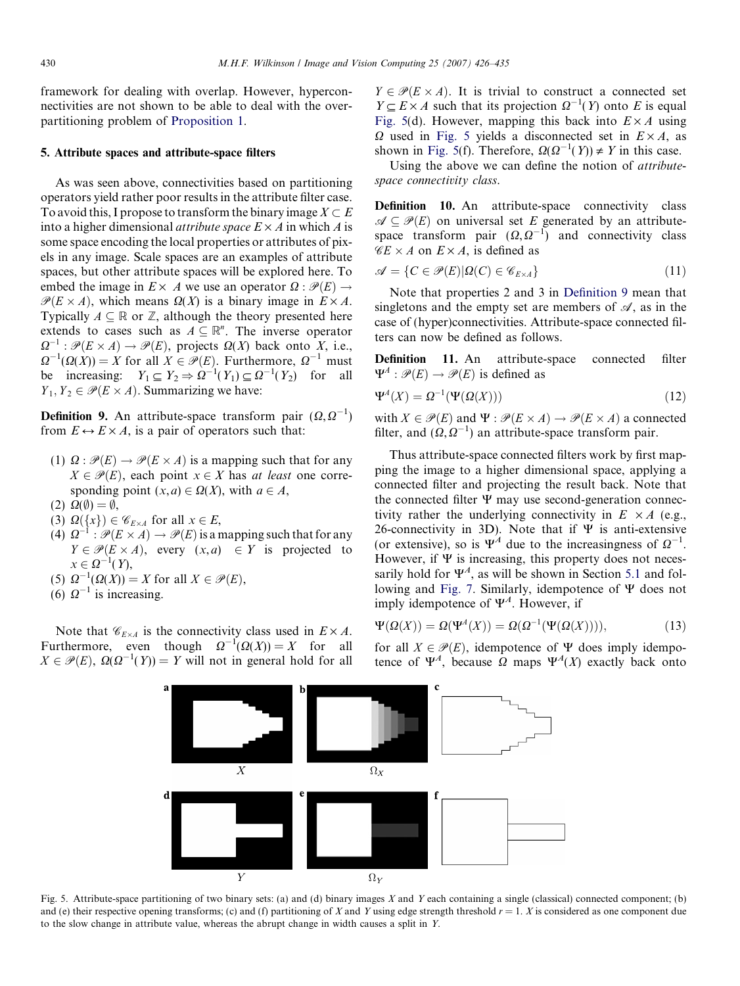<span id="page-4-0"></span>framework for dealing with overlap. However, hyperconnectivities are not shown to be able to deal with the overpartitioning problem of [Proposition 1](#page-3-0).

## 5. Attribute spaces and attribute-space filters

As was seen above, connectivities based on partitioning operators yield rather poor results in the attribute filter case. To avoid this, I propose to transform the binary image  $X \subset E$ into a higher dimensional *attribute space*  $E \times A$  in which A is some space encoding the local properties or attributes of pixels in any image. Scale spaces are an examples of attribute spaces, but other attribute spaces will be explored here. To embed the image in  $E \times A$  we use an operator  $\Omega : \mathcal{P}(E) \rightarrow$  $\mathcal{P}(E \times A)$ , which means  $\Omega(X)$  is a binary image in  $E \times A$ . Typically  $A \subseteq \mathbb{R}$  or  $\mathbb{Z}$ , although the theory presented here extends to cases such as  $A \subseteq \mathbb{R}^n$ . The inverse operator  $\Omega^{-1} : \mathcal{P}(E \times A) \to \mathcal{P}(E)$ , projects  $\Omega(X)$  back onto X, i.e.,  $\Omega^{-1}(\Omega(X)) = X$  for all  $X \in \mathcal{P}(E)$ . Furthermore,  $\Omega^{-1}$  must be increasing:  $Y_1 \subseteq Y_2 \Rightarrow \Omega^{-1}(Y_1) \subseteq \Omega^{-1}(Y_2)$  for all  $Y_1, Y_2 \in \mathcal{P}(E \times A)$ . Summarizing we have:

**Definition 9.** An attribute-space transform pair  $(\Omega, \Omega^{-1})$ from  $E \leftrightarrow E \times A$ , is a pair of operators such that:

- (1)  $\Omega$ :  $\mathcal{P}(E) \rightarrow \mathcal{P}(E \times A)$  is a mapping such that for any  $X \in \mathcal{P}(E)$ , each point  $x \in X$  has *at least* one corresponding point  $(x,a) \in \Omega(X)$ , with  $a \in A$ ,
- (2)  $\Omega(\emptyset) = \emptyset$ ,
- (3)  $\Omega({x}) \in \mathscr{C}_{E \times A}$  for all  $x \in E$ ,
- (4)  $\Omega^{-1}$  :  $\mathcal{P}(E \times A) \rightarrow \mathcal{P}(E)$  is a mapping such that for any  $Y \in \mathcal{P}(E \times A)$ , every  $(x, a) \in Y$  is projected to  $x \in \Omega^{-1}(Y),$
- (5)  $\Omega^{-1}(\Omega(X)) = X$  for all  $X \in \mathcal{P}(E)$ ,
- (6)  $\Omega^{-1}$  is increasing.

Note that  $\mathcal{C}_{E\times A}$  is the connectivity class used in  $E\times A$ . Furthermore, even though  $\Omega^{-1}(\Omega(X)) = X$  for all  $X \in \mathcal{P}(E)$ ,  $\Omega(\Omega^{-1}(Y)) = Y$  will not in general hold for all

 $Y \in \mathcal{P}(E \times A)$ . It is trivial to construct a connected set  $Y \subseteq E \times A$  such that its projection  $\Omega^{-1}(Y)$  onto E is equal Fig. 5(d). However, mapping this back into  $E \times A$  using  $\Omega$  used in Fig. 5 yields a disconnected set in  $E \times A$ , as shown in Fig. 5(f). Therefore,  $\Omega(\Omega^{-1}(Y)) \neq Y$  in this case.

Using the above we can define the notion of attributespace connectivity class.

Definition 10. An attribute-space connectivity class  $\mathscr{A} \subseteq \mathscr{P}(E)$  on universal set E generated by an attributespace transform pair  $(\Omega, \Omega^{-1})$  and connectivity class  $\mathscr{C}E \times A$  on  $E \times A$ , is defined as

$$
\mathcal{A} = \{ C \in \mathcal{P}(E) | \Omega(C) \in \mathcal{C}_{E \times A} \}
$$
\n(11)

Note that properties 2 and 3 in Definition 9 mean that singletons and the empty set are members of  $\mathcal{A}$ , as in the case of (hyper)connectivities. Attribute-space connected filters can now be defined as follows.

Definition 11. An attribute-space connected filter  $\Psi^A : \mathcal{P}(E) \rightarrow \mathcal{P}(E)$  is defined as

$$
\Psi^A(X) = \Omega^{-1}(\Psi(\Omega(X)))\tag{12}
$$

with  $X \in \mathcal{P}(E)$  and  $\Psi : \mathcal{P}(E \times A) \to \mathcal{P}(E \times A)$  a connected filter, and  $(\Omega, \Omega^{-1})$  an attribute-space transform pair.

Thus attribute-space connected filters work by first mapping the image to a higher dimensional space, applying a connected filter and projecting the result back. Note that the connected filter  $\Psi$  may use second-generation connectivity rather the underlying connectivity in  $E \times A$  (e.g., 26-connectivity in 3D). Note that if  $\Psi$  is anti-extensive (or extensive), so is  $\Psi^A$  due to the increasingness of  $\Omega^{-1}$ . However, if  $\Psi$  is increasing, this property does not necessarily hold for  $\Psi^A$ , as will be shown in Section [5.1](#page-5-0) and fol-lowing and [Fig. 7](#page-6-0). Similarly, idempotence of  $\Psi$  does not imply idempotence of  $\Psi^A$ . However, if

$$
\Psi(\Omega(X)) = \Omega(\Psi^A(X)) = \Omega(\Omega^{-1}(\Psi(\Omega(X))))\tag{13}
$$

for all  $X \in \mathcal{P}(E)$ , idempotence of  $\Psi$  does imply idempotence of  $\Psi^A$ , because  $\Omega$  maps  $\Psi^A(X)$  exactly back onto



Fig. 5. Attribute-space partitioning of two binary sets: (a) and (d) binary images X and Y each containing a single (classical) connected component; (b) and (e) their respective opening transforms; (c) and (f) partitioning of X and Y using edge strength threshold  $r = 1$ . X is considered as one component due to the slow change in attribute value, whereas the abrupt change in width causes a split in Y.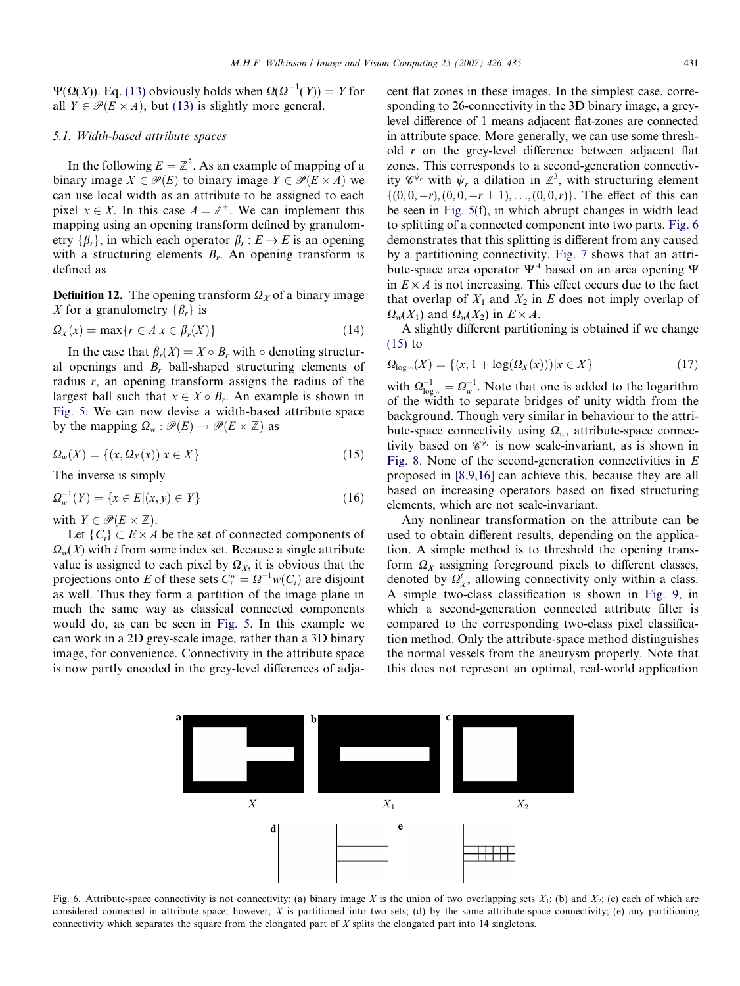<span id="page-5-0"></span> $\Psi(\Omega(X))$ . Eq. [\(13\)](#page-4-0) obviously holds when  $\Omega(\Omega^{-1}(Y)) = Y$  for all  $Y \in \mathcal{P}(E \times A)$ , but [\(13\)](#page-4-0) is slightly more general.

# 5.1. Width-based attribute spaces

In the following  $E = \mathbb{Z}^2$ . As an example of mapping of a binary image  $X \in \mathcal{P}(E)$  to binary image  $Y \in \mathcal{P}(E \times A)$  we can use local width as an attribute to be assigned to each pixel  $x \in X$ . In this case  $A = \mathbb{Z}^+$ . We can implement this mapping using an opening transform defined by granulometry  $\{\beta_r\}$ , in which each operator  $\beta_r : E \to E$  is an opening with a structuring elements  $B_r$ . An opening transform is defined as

**Definition 12.** The opening transform  $\Omega_X$  of a binary image X for a granulometry  $\{\beta_r\}$  is

$$
\Omega_X(x) = \max\{r \in A | x \in \beta_r(X)\}\tag{14}
$$

In the case that  $\beta_r(X) = X \circ B_r$  with  $\circ$  denoting structural openings and  $B_r$  ball-shaped structuring elements of radius  $r$ , an opening transform assigns the radius of the largest ball such that  $x \in X \circ B_r$ . An example is shown in [Fig. 5.](#page-4-0) We can now devise a width-based attribute space by the mapping  $\Omega_w : \mathcal{P}(E) \to \mathcal{P}(E \times \mathbb{Z})$  as

$$
\Omega_w(X) = \{(x, \Omega_X(x)) | x \in X\}
$$
\n
$$
(15)
$$

The inverse is simply

$$
\Omega_{w}^{-1}(Y) = \{ x \in E | (x, y) \in Y \}
$$
\n(16)

with  $Y \in \mathscr{P}(E \times \mathbb{Z})$ .

Let  $\{C_i\} \subset E \times A$  be the set of connected components of  $\Omega_w(X)$  with *i* from some index set. Because a single attribute value is assigned to each pixel by  $\Omega_X$ , it is obvious that the projections onto E of these sets  $C_i^w = \Omega^{-1} w(C_i)$  are disjoint as well. Thus they form a partition of the image plane in much the same way as classical connected components would do, as can be seen in [Fig. 5](#page-4-0). In this example we can work in a 2D grey-scale image, rather than a 3D binary image, for convenience. Connectivity in the attribute space is now partly encoded in the grey-level differences of adjacent flat zones in these images. In the simplest case, corresponding to 26-connectivity in the 3D binary image, a greylevel difference of 1 means adjacent flat-zones are connected in attribute space. More generally, we can use some threshold r on the grey-level difference between adjacent flat zones. This corresponds to a second-generation connectivity  $\mathscr{C}^{\psi_r}$  with  $\psi_r$  a dilation in  $\mathbb{Z}^3$ , with structuring element  $\{(0, 0, -r), (0, 0, -r + 1), \ldots, (0, 0, r)\}.$  The effect of this can be seen in [Fig. 5](#page-4-0)(f), in which abrupt changes in width lead to splitting of a connected component into two parts. Fig. 6 demonstrates that this splitting is different from any caused by a partitioning connectivity. [Fig. 7](#page-6-0) shows that an attribute-space area operator  $\Psi^A$  based on an area opening  $\Psi$ in  $E \times A$  is not increasing. This effect occurs due to the fact that overlap of  $X_1$  and  $X_2$  in E does not imply overlap of  $\Omega_w(X_1)$  and  $\Omega_w(X_2)$  in  $E \times A$ .

A slightly different partitioning is obtained if we change  $(15)$  to

$$
\Omega_{\log w}(X) = \{(x, 1 + \log(\Omega_X(x))) | x \in X \}
$$
\n(17)

with  $\Omega_{\log w}^{-1} = \Omega_w^{-1}$ . Note that one is added to the logarithm of the width to separate bridges of unity width from the background. Though very similar in behaviour to the attribute-space connectivity using  $\Omega_w$ , attribute-space connectivity based on  $\mathscr{C}^{\psi_r}$  is now scale-invariant, as is shown in [Fig. 8](#page-6-0). None of the second-generation connectivities in  $E$ proposed in [\[8,9,16\]](#page-9-0) can achieve this, because they are all based on increasing operators based on fixed structuring elements, which are not scale-invariant.

Any nonlinear transformation on the attribute can be used to obtain different results, depending on the application. A simple method is to threshold the opening transform  $\Omega_X$  assigning foreground pixels to different classes, denoted by  $\Omega'_X$ , allowing connectivity only within a class. A simple two-class classification is shown in [Fig. 9](#page-6-0), in which a second-generation connected attribute filter is compared to the corresponding two-class pixel classification method. Only the attribute-space method distinguishes the normal vessels from the aneurysm properly. Note that this does not represent an optimal, real-world application



Fig. 6. Attribute-space connectivity is not connectivity: (a) binary image X is the union of two overlapping sets  $X_1$ ; (b) and  $X_2$ ; (c) each of which are considered connected in attribute space; however, X is partitioned into two sets; (d) by the same attribute-space connectivity; (e) any partitioning connectivity which separates the square from the elongated part of  $X$  splits the elongated part into 14 singletons.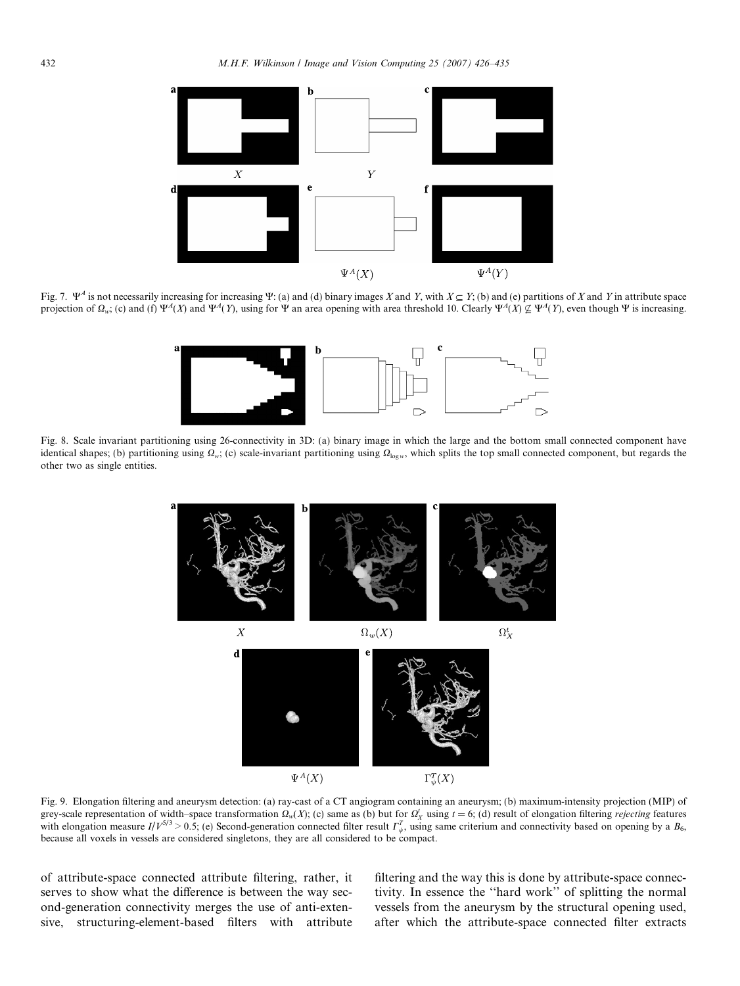<span id="page-6-0"></span>

Fig. 7.  $\Psi^A$  is not necessarily increasing for increasing  $\Psi$ : (a) and (d) binary images X and Y, with  $X \subseteq Y$ ; (b) and (e) partitions of X and Y in attribute space projection of  $\Omega_w$ ; (c) and (f)  $\Psi^A(X)$  and  $\Psi^A(Y)$ , using for  $\Psi$  an area opening with area threshold 10. Clearly  $\Psi^A(X) \nsubseteq \Psi^A(Y)$ , even though  $\Psi$  is increasing.



Fig. 8. Scale invariant partitioning using 26-connectivity in 3D: (a) binary image in which the large and the bottom small connected component have identical shapes; (b) partitioning using  $\Omega_w$ ; (c) scale-invariant partitioning using  $\Omega_{\text{log}w}$ , which splits the top small connected component, but regards the other two as single entities.



Fig. 9. Elongation filtering and aneurysm detection: (a) ray-cast of a CT angiogram containing an aneurysm; (b) maximum-intensity projection (MIP) of grey-scale representation of width–space transformation  $\Omega_w(X)$ ; (c) same as (b) but for  $\Omega'_X$  using  $t = 6$ ; (d) result of elongation filtering rejecting features with elongation measure  $I/V^{5/3} > 0.5$ ; (e) Second-generation connected filter result  $\Gamma_V^T$ , using same criterium and connectivity based on opening by a  $B_6$ , because all voxels in vessels are considered singletons, they are all considered to be compact.

of attribute-space connected attribute filtering, rather, it serves to show what the difference is between the way second-generation connectivity merges the use of anti-extensive, structuring-element-based filters with attribute

filtering and the way this is done by attribute-space connectivity. In essence the ''hard work'' of splitting the normal vessels from the aneurysm by the structural opening used, after which the attribute-space connected filter extracts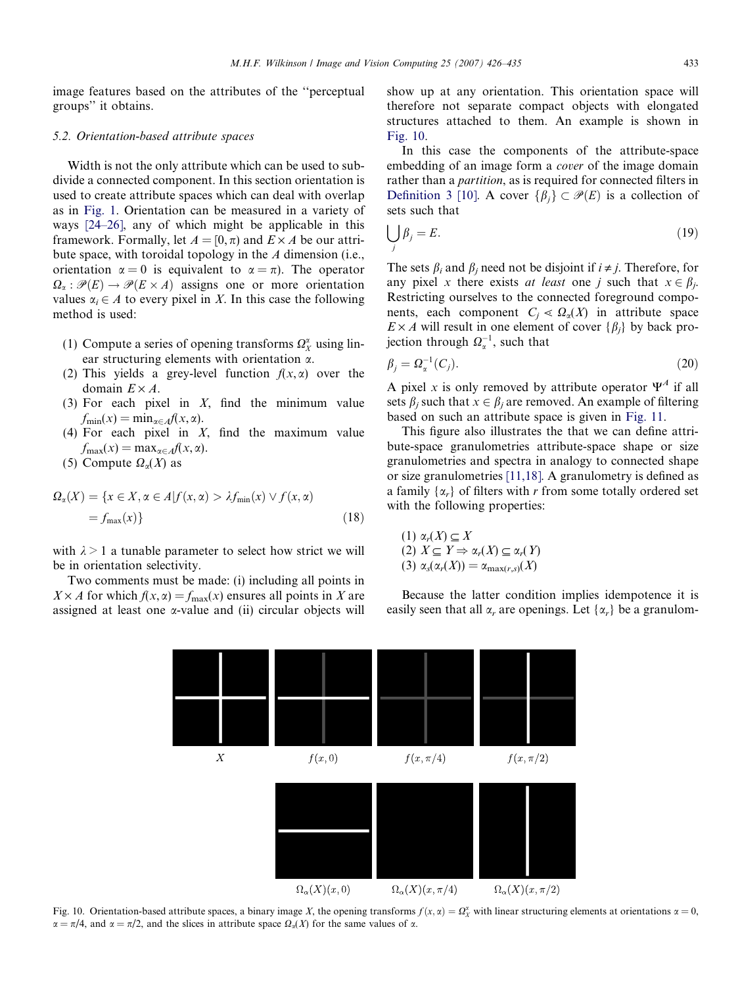<span id="page-7-0"></span>image features based on the attributes of the ''perceptual groups'' it obtains.

# 5.2. Orientation-based attribute spaces

Width is not the only attribute which can be used to subdivide a connected component. In this section orientation is used to create attribute spaces which can deal with overlap as in [Fig. 1](#page-1-0). Orientation can be measured in a variety of ways [\[24–26\],](#page-9-0) any of which might be applicable in this framework. Formally, let  $A = [0, \pi)$  and  $E \times A$  be our attribute space, with toroidal topology in the A dimension (i.e., orientation  $\alpha = 0$  is equivalent to  $\alpha = \pi$ ). The operator  $\Omega_{\alpha}: \mathcal{P}(E) \to \mathcal{P}(E \times A)$  assigns one or more orientation values  $\alpha_i \in A$  to every pixel in X. In this case the following method is used:

- (1) Compute a series of opening transforms  $\Omega_X^{\alpha}$  using linear structuring elements with orientation  $\alpha$ .
- (2) This yields a grey-level function  $f(x, \alpha)$  over the domain  $E \times A$ .
- (3) For each pixel in  $X$ , find the minimum value  $f_{\text{min}}(x) = \min_{\alpha \in \mathcal{A}} f(x, \alpha).$
- (4) For each pixel in  $X$ , find the maximum value  $f_{\text{max}}(x) = \max_{\alpha \in A} f(x, \alpha).$
- (5) Compute  $\Omega_{\alpha}(X)$  as

$$
\Omega_{\alpha}(X) = \{x \in X, \alpha \in A | f(x, \alpha) > \lambda f_{\min}(x) \lor f(x, \alpha) = f_{\max}(x)\}\
$$
\n(18)

with  $\lambda > 1$  a tunable parameter to select how strict we will be in orientation selectivity.

Two comments must be made: (i) including all points in  $X \times A$  for which  $f(x, \alpha) = f_{\text{max}}(x)$  ensures all points in X are assigned at least one  $\alpha$ -value and (ii) circular objects will show up at any orientation. This orientation space will therefore not separate compact objects with elongated structures attached to them. An example is shown in Fig. 10.

In this case the components of the attribute-space embedding of an image form a cover of the image domain rather than a *partition*, as is required for connected filters in [Definition 3](#page-2-0) [\[10\].](#page-9-0) A cover  $\{\beta_i\} \subset \mathcal{P}(E)$  is a collection of sets such that

$$
\bigcup_{j} \beta_j = E. \tag{19}
$$

The sets  $\beta_i$  and  $\beta_j$  need not be disjoint if  $i \neq j$ . Therefore, for any pixel x there exists at least one j such that  $x \in \beta_i$ . Restricting ourselves to the connected foreground components, each component  $C_j \ll \Omega_\alpha(X)$  in attribute space  $E \times A$  will result in one element of cover  $\{\beta_i\}$  by back projection through  $\Omega_{\alpha}^{-1}$ , such that

$$
\beta_j = \Omega_\alpha^{-1}(C_j). \tag{20}
$$

A pixel x is only removed by attribute operator  $\Psi^A$  if all sets  $\beta_i$  such that  $x \in \beta_i$  are removed. An example of filtering based on such an attribute space is given in [Fig. 11](#page-8-0).

This figure also illustrates the that we can define attribute-space granulometries attribute-space shape or size granulometries and spectra in analogy to connected shape or size granulometries [\[11,18\].](#page-9-0) A granulometry is defined as a family  $\{\alpha_r\}$  of filters with r from some totally ordered set with the following properties:

(1) 
$$
\alpha_r(X) \subseteq X
$$
  
(2)  $X \subseteq Y \Rightarrow \alpha_r(X) \subseteq \alpha_r(Y)$   
(3)  $\alpha_s(\alpha_r(X)) = \alpha_{\max(r,s)}(X)$ 

Because the latter condition implies idempotence it is easily seen that all  $\alpha_r$  are openings. Let  $\{\alpha_r\}$  be a granulom-



Fig. 10. Orientation-based attribute spaces, a binary image X, the opening transforms  $f(x, \alpha) = \Omega_x^{\alpha}$  with linear structuring elements at orientations  $\alpha = 0$ ,  $\alpha = \pi/4$ , and  $\alpha = \pi/2$ , and the slices in attribute space  $\Omega_{\alpha}(X)$  for the same values of  $\alpha$ .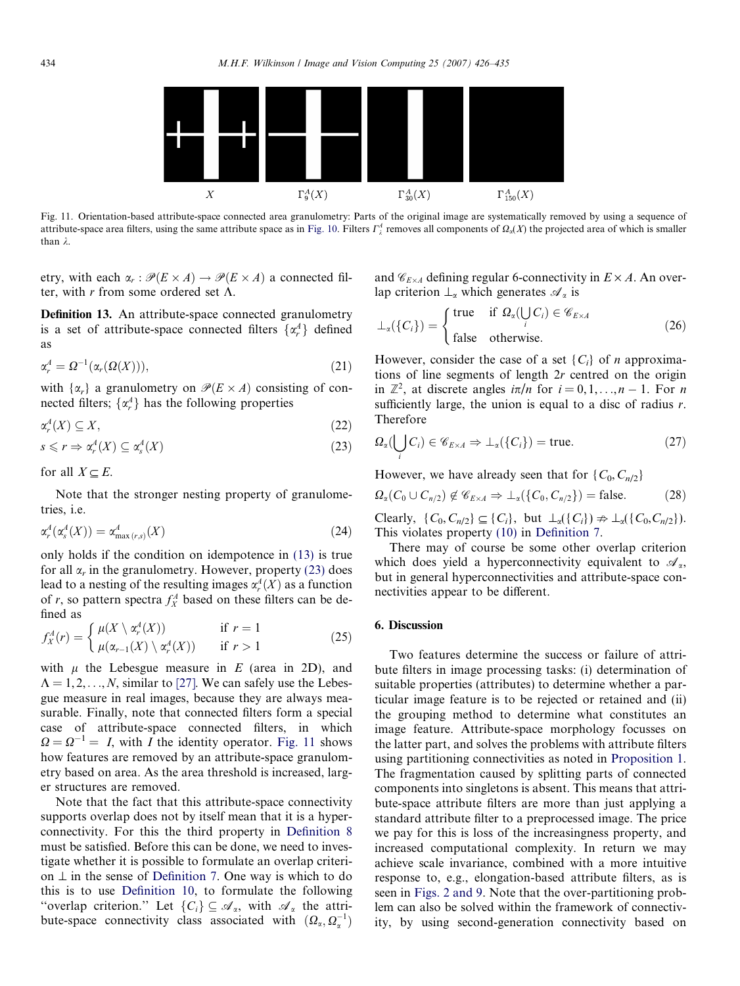<span id="page-8-0"></span>

Fig. 11. Orientation-based attribute-space connected area granulometry: Parts of the original image are systematically removed by using a sequence of attribute-space area filters, using the same attribute space as in [Fig. 10](#page-7-0). Filters  $\Gamma^A_\lambda$  removes all components of  $\Omega_\alpha(X)$  the projected area of which is smaller than  $\lambda$ .

etry, with each  $\alpha_r : \mathcal{P}(E \times A) \to \mathcal{P}(E \times A)$  a connected filter, with r from some ordered set  $\Lambda$ .

Definition 13. An attribute-space connected granulometry is a set of attribute-space connected filters  $\{\alpha_r^A\}$  defined as

$$
\alpha_r^A = \Omega^{-1}(\alpha_r(\Omega(X))),\tag{21}
$$

with  $\{\alpha_r\}$  a granulometry on  $\mathcal{P}(E \times A)$  consisting of connected filters;  $\{\alpha_r^A\}$  has the following properties

$$
\alpha_r^A(X) \subseteq X,\tag{22}
$$

$$
s \leqslant r \Rightarrow \alpha_r^A(X) \subseteq \alpha_s^A(X) \tag{23}
$$

for all  $X \subset E$ .

Note that the stronger nesting property of granulometries, i.e.

$$
\alpha_r^A(\alpha_s^A(X)) = \alpha_{\max(r,s)}^A(X) \tag{24}
$$

only holds if the condition on idempotence in [\(13\)](#page-4-0) is true for all  $\alpha_r$  in the granulometry. However, property (23) does lead to a nesting of the resulting images  $\alpha_r^A(X)$  as a function of r, so pattern spectra  $f_X^A$  based on these filters can be defined as

$$
f_X^A(r) = \begin{cases} \mu(X \setminus \alpha_r^A(X)) & \text{if } r = 1\\ \mu(\alpha_{r-1}(X) \setminus \alpha_r^A(X)) & \text{if } r > 1 \end{cases}
$$
 (25)

with  $\mu$  the Lebesgue measure in E (area in 2D), and  $\Lambda = 1, 2, \ldots, N$ , similar to [\[27\]](#page-9-0). We can safely use the Lebesgue measure in real images, because they are always measurable. Finally, note that connected filters form a special case of attribute-space connected filters, in which  $\Omega = \Omega^{-1} = I$ , with I the identity operator. Fig. 11 shows how features are removed by an attribute-space granulometry based on area. As the area threshold is increased, larger structures are removed.

Note that the fact that this attribute-space connectivity supports overlap does not by itself mean that it is a hyperconnectivity. For this the third property in [Definition 8](#page-3-0) must be satisfied. Before this can be done, we need to investigate whether it is possible to formulate an overlap criterion  $\perp$  in the sense of [Definition 7](#page-3-0). One way is which to do this is to use [Definition 10](#page-4-0), to formulate the following "overlap criterion." Let  $\{C_i\} \subseteq \mathscr{A}_{\alpha}$ , with  $\mathscr{A}_{\alpha}$  the attribute-space connectivity class associated with  $(\Omega_\alpha, \Omega_\alpha^{-1})$ 

and  $\mathcal{C}_{E \times A}$  defining regular 6-connectivity in  $E \times A$ . An overlap criterion  $\perp_{\alpha}$  which generates  $\mathscr{A}_{\alpha}$  is

$$
\perp_{\alpha}(\{C_i\}) = \begin{cases} \text{true} & \text{if } \Omega_{\alpha}(\bigcup_{i} C_i) \in \mathscr{C}_{E \times A} \\ \text{false} & \text{otherwise.} \end{cases}
$$
(26)

However, consider the case of a set  $\{C_i\}$  of *n* approximations of line segments of length 2r centred on the origin in  $\mathbb{Z}^2$ , at discrete angles  $i\pi/n$  for  $i = 0, 1, \ldots, n - 1$ . For n sufficiently large, the union is equal to a disc of radius  $r$ . Therefore

$$
\Omega_{\alpha}(\bigcup_{i} C_{i}) \in \mathscr{C}_{E \times A} \Rightarrow \bot_{\alpha}(\{C_{i}\}) = \text{true.}
$$
\n(27)

However, we have already seen that for  $\{C_0, C_{n/2}\}\$ 

$$
\Omega_{\alpha}(C_0 \cup C_{n/2}) \notin \mathscr{C}_{E \times A} \Rightarrow \perp_{\alpha}(\{C_0, C_{n/2}\}) = \text{false.}
$$
 (28)

Clearly,  $\{C_0, C_{n/2}\} \subseteq \{C_i\}$ , but  $\perp_{\alpha}(\{C_i\}) \neq \perp_{\alpha}(\{C_0, C_{n/2}\}).$ This violates property [\(10\)](#page-3-0) in [Definition 7.](#page-3-0)

There may of course be some other overlap criterion which does yield a hyperconnectivity equivalent to  $\mathscr{A}_{\alpha}$ , but in general hyperconnectivities and attribute-space connectivities appear to be different.

# 6. Discussion

Two features determine the success or failure of attribute filters in image processing tasks: (i) determination of suitable properties (attributes) to determine whether a particular image feature is to be rejected or retained and (ii) the grouping method to determine what constitutes an image feature. Attribute-space morphology focusses on the latter part, and solves the problems with attribute filters using partitioning connectivities as noted in [Proposition 1](#page-3-0). The fragmentation caused by splitting parts of connected components into singletons is absent. This means that attribute-space attribute filters are more than just applying a standard attribute filter to a preprocessed image. The price we pay for this is loss of the increasingness property, and increased computational complexity. In return we may achieve scale invariance, combined with a more intuitive response to, e.g., elongation-based attribute filters, as is seen in [Figs. 2 and 9](#page-1-0). Note that the over-partitioning problem can also be solved within the framework of connectivity, by using second-generation connectivity based on